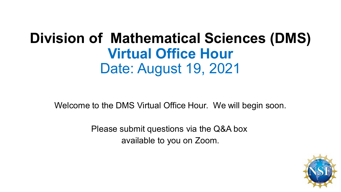## **Division of Mathematical Sciences (DMS) Virtual Office Hour** Date: August 19, 2021

Welcome to the DMS Virtual Office Hour. We will begin soon.

Please submit questions via the Q&A box available to you on Zoom.

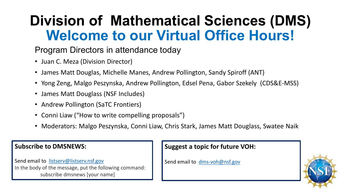# **Division of Mathematical Sciences (DMS) Welcome to our Virtual Office Hours!**

#### Program Directors in attendance today

- Juan C. Meza (Division Director)
- James Matt Douglas, Michelle Manes, Andrew Pollington, Sandy Spiroff (ANT)
- Yong Zeng, Malgo Peszynska, Andrew Pollington, Edsel Pena, Gabor Szekely (CDS&E-MSS)
- James Matt Douglass (NSF Includes)
- Andrew Pollington (SaTC Frontiers)
- Conni Liaw ("How to write compelling proposals")
- Moderators: Malgo Peszynska, Conni Liaw, Chris Stark, James Matt Douglass, Swatee Naik

#### **Subscribe to DMSNEWS:**

Send email to [listserv@listserv.nsf.gov](mailto:listserv@listserv.nsf.gov) In the body of the message, put the following command: subscribe dmsnews [your name]

#### **Suggest a topic for future VOH:**

Send email to [dms-voh@nsf.gov](mailto:dms-voh@nsf.gov)

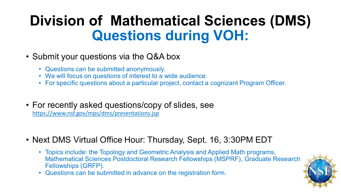## **Division of Mathematical Sciences (DMS) Questions during VOH:**

#### • Submit your questions via the Q&A box

- Questions can be submitted anonymously.
- We will focus on questions of interest to a wide audience.
- For specific questions about a particular project, contact a cognizant Program Officer.
- For recently asked questions/copy of slides, see <https://www.nsf.gov/mps/dms/presentations.jsp>
- Next DMS Virtual Office Hour: Thursday, Sept. 16, 3:30PM EDT
	- Topics include: the Topology and Geometric Analysis and Applied Math programs, Mathematical Sciences Postdoctoral Research Fellowships (MSPRF), Graduate Research Fellowships (GRFP).
	- Questions can be submitted in advance on the registration form.

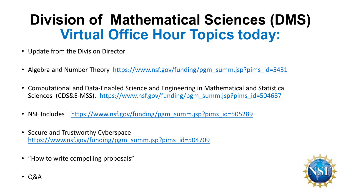# **Division of Mathematical Sciences (DMS) Virtual Office Hour Topics today:**

- Update from the Division Director
- Algebra and Number Theory [https://www.nsf.gov/funding/pgm\\_summ.jsp?pims\\_id=5431](https://www.nsf.gov/funding/pgm_summ.jsp?pims_id=5431)
- Computational and Data-Enabled Science and Engineering in Mathematical and Statistical Sciences (CDS&E-MSS). [https://www.nsf.gov/funding/pgm\\_summ.jsp?pims\\_id=504687](https://www.nsf.gov/funding/pgm_summ.jsp?pims_id=504687)
- NSF Includes [https://www.nsf.gov/funding/pgm\\_summ.jsp?pims\\_id=505289](https://www.nsf.gov/funding/pgm_summ.jsp?pims_id=505289)
- Secure and Trustworthy Cyberspace [https://www.nsf.gov/funding/pgm\\_summ.jsp?pims\\_id=504709](https://www.nsf.gov/funding/pgm_summ.jsp?pims_id=504709)
- "How to write compelling proposals"

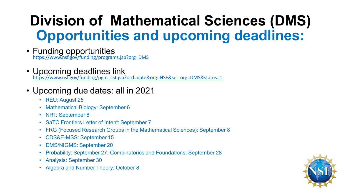# **Division of Mathematical Sciences (DMS) Opportunities and upcoming deadlines:**

- Funding opportunities <https://www.nsf.gov/funding/programs.jsp?org=DMS>
- Upcoming deadlines link [https://www.nsf.gov/funding/pgm\\_list.jsp?ord=date&org=NSF&sel\\_org=DMS&status=1](https://www.nsf.gov/funding/pgm_list.jsp?ord=date&org=NSF&sel_org=DMS&status=1)
- Upcoming due dates: all in 2021
	- REU: August 25
	- Mathematical Biology: September 6
	- NRT: September 6
	- SaTC Frontiers Letter of Intent: September 7
	- FRG (Focused Research Groups in the Mathematical Sciences): September 8
	- CDS&E-MSS: September 15
	- DMS/NIGMS: September 20
	- Probability: September 27; Combinatorics and Foundations: September 28
	- Analysis: September 30
	- Algebra and Number Theory: October 8

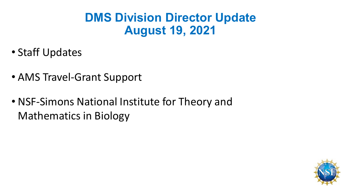### **DMS Division Director Update August 19, 2021**

- Staff Updates
- AMS Travel-Grant Support
- NSF-Simons National Institute for Theory and Mathematics in Biology

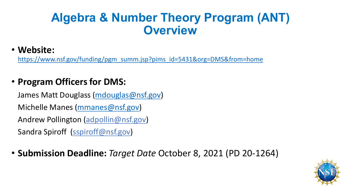### **Algebra & Number Theory Program (ANT) Overview**

#### • **Website:**

[https://www.nsf.gov/funding/pgm\\_summ.jsp?pims\\_id=5431&org=DMS&from=home](https://www.nsf.gov/funding/pgm_summ.jsp?pims_id=5431&org=DMS&from=home)

### • **Program Officers for DMS:**

James Matt Douglass ([mdouglas@nsf.gov\)](mailto:mdouglas@nsf.gov) Michelle Manes [\(mmanes@nsf.gov\)](mailto:mmanes@nsf.gov) Andrew Pollington (adpollin@nsf.gov) Sandra Spiroff (sspiroff@nsf.gov)

• **Submission Deadline:** *Target Date* October 8, 2021 (PD 20-1264)

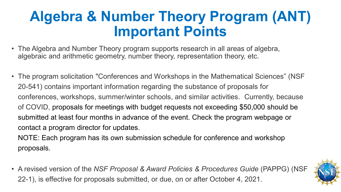## **Algebra & Number Theory Program (ANT) Important Points**

- The Algebra and Number Theory program supports research in all areas of algebra, algebraic and arithmetic geometry, number theory, representation theory, etc.
- The program solicitation "Conferences and Workshops in the Mathematical Sciences" (NSF 20-541) contains important information regarding the substance of proposals for conferences, workshops, summer/winter schools, and similar activities. Currently, because of COVID, proposals for meetings with budget requests not exceeding \$50,000 should be submitted at least four months in advance of the event. Check the program webpage or contact a program director for updates.

NOTE: Each program has its own submission schedule for conference and workshop proposals.

• A revised version of the *NSF Proposal & Award Policies & Procedures Guide* (PAPPG) (NSF 22-1), is effective for proposals submitted, or due, on or after October 4, 2021.

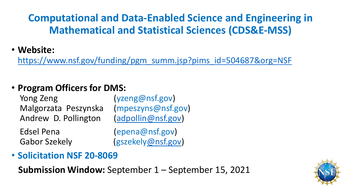### **Computational and Data-Enabled Science and Engineering in Mathematical and Statistical Sciences (CDS&E-MSS)**

#### • **Website:**

[https://www.nsf.gov/funding/pgm\\_summ.jsp?pims\\_id=504687&org=NSF](https://www.nsf.gov/funding/pgm_summ.jsp?pims_id=504687&org=NSF)

### • **Program Officers for DMS:**

Yong Zeng (yzeng@nsf.gov) Malgorzata Peszynska (mpeszyns@nsf.gov) Andrew D. Pollington [\(adpollin@nsf.gov\)](mailto:adpollin@nsf.gov)

Edsel Pena (epena@nsf.gov) Gabor Szekely (gszekely[@nsf.gov\)](mailto:adpollin@nsf.gov)

• **Solicitation NSF 20-8069**

**Submission Window:** September 1 – September 15, 2021

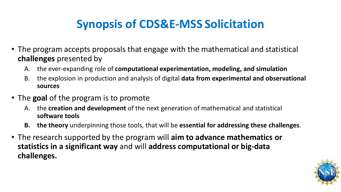## **Synopsis of CDS&E-MSS Solicitation**

- The program accepts proposals that engage with the mathematical and statistical **challenges** presented by
	- A. the ever-expanding role of **computational experimentation, modeling, and simulation**
	- B. the explosion in production and analysis of digital **data from experimental and observational sources**
- The **goal** of the program is to promote
	- A. the **creation and development** of the next generation of mathematical and statistical **software tools**
	- **B. the theory** underpinning those tools, that will be **essential for addressing these challenges**.
- The research supported by the program will **aim to advance mathematics or statistics in a significant way** and will **address computational or big-data challenges.**

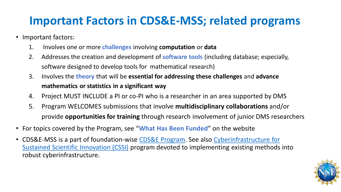### **Important Factors in CDS&E-MSS; related programs**

- Important factors:
	- 1. Involves one or more **challenges** involving **computation** or **data**
	- 2. Addresses the creation and development of **software tools** (including database; especially, software designed to develop tools for mathematical research)
	- 3. Involves the **theory** that will be **essential for addressing these challenges** and **advance mathematics or statistics in a significant way**
	- 4. Project MUST INCLUDE a PI or co-PI who is a researcher in an area supported by DMS
	- 5. Program WELCOMES submissions that involve **multidisciplinary collaborations** and/or provide **opportunities for training** through research involvement of junior DMS researchers
- For topics covered by the Program, see "**What Has Been Funded**" on the website
- [CDS&E-MSS is a part of foundation-wise CDS&E Program. See also Cyberinfrastructure](https://www.nsf.gov/funding/pgm_summ.jsp?pims_id=505505) for Sustained Scientific Innovation (CSSI) program devoted to implementing existing methods into robust cyberinfrastructure.

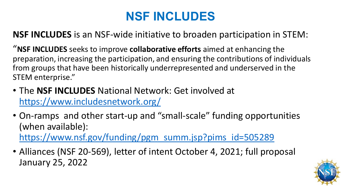## **NSF INCLUDES**

**NSF INCLUDES** is an NSF-wide initiative to broaden participation in STEM:

"**NSF INCLUDES** seeks to improve **collaborative efforts** aimed at enhancing the preparation, increasing the participation, and ensuring the contributions of individuals from groups that have been historically underrepresented and underserved in the STEM enterprise."

- The **NSF INCLUDES** National Network: Get involved at <https://www.includesnetwork.org/>
- On-ramps and other start-up and "small-scale" funding opportunities (when available):

[https://www.nsf.gov/funding/pgm\\_summ.jsp?pims\\_id=505289](https://www.nsf.gov/funding/pgm_summ.jsp?pims_id=505289)

• Alliances (NSF 20-569), letter of intent October 4, 2021; full proposal January 25, 2022

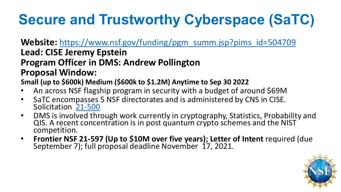# **Secure and Trustworthy Cyberspace (SaTC)**

Website: [https://www.nsf.gov/funding/pgm\\_summ.jsp?pims\\_id=504709](https://www.nsf.gov/funding/pgm_summ.jsp?pims_id=504709) **Lead: CISE Jeremy Epstein Program Officer in DMS: Andrew Pollington Proposal Window:** 

**Small (up to \$600k) Medium (\$600k to \$1.2M) Anytime to Sep 30 2022**

- An across NSF flagship program in security with a budget of around \$69M
- SaTC encom[passes](https://www.nsf.gov/publications/pub_summ.jsp?WT.z_pims_id=504709&ods_key=nsf21500) 5 NSF directorates and is administered by CNS in CISE.<br>Solicitation 21-500
- DMS is involved through work currently in cryptography, Statistics, Probability and QIS. A recent concentration is in post quantum crypto schemes and the NIST competition.
- **Frontier NSF 21-597 (Up to \$10M over five years); Letter of Intent** required (due September 7); full proposal deadline November 17, 2021.

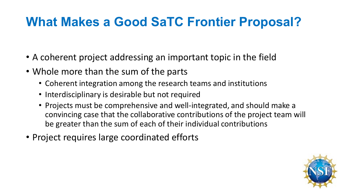## **What Makes a Good SaTC Frontier Proposal?**

- A coherent project addressing an important topic in the field
- Whole more than the sum of the parts
	- Coherent integration among the research teams and institutions
	- Interdisciplinary is desirable but not required
	- Projects must be comprehensive and well-integrated, and should make a convincing case that the collaborative contributions of the project team will be greater than the sum of each of their individual contributions
- Project requires large coordinated efforts

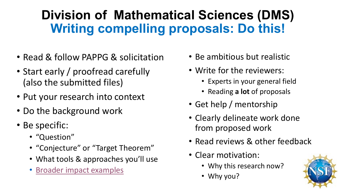## **Division of Mathematical Sciences (DMS) Writing compelling proposals: Do this!**

- Read & follow PAPPG & solicitation
- Start early / proofread carefully (also the submitted files)
- Put your research into context
- Do the background work
- Be specific:
	- "Question"
	- "Conjecture" or "Target Theorem"
	- What tools & approaches you'll use
	- [Broader impact examples](https://www.youtube.com/watch?v=HifApfXAvJg&t=60s)
- Be ambitious but realistic
- Write for the reviewers:
	- Experts in your general field
	- Reading **a lot** of proposals
- Get help / mentorship
- Clearly delineate work done from proposed work
- Read reviews & other feedback
- Clear motivation:
	- Why this research now?
	- Why you?

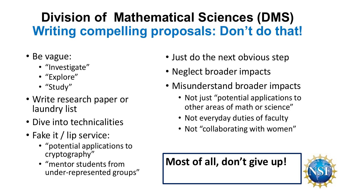## **Division of Mathematical Sciences (DMS) Writing compelling proposals: Don't do that!**

- Be vague:
	- "Investigate"
	- "Explore"
	- "Study"
- Write research paper or laundry list
- Dive into technicalities
- Fake it / lip service:
	- "potential applications to cryptography"
	- "mentor students from under-represented groups"
- Just do the next obvious step
- Neglect broader impacts
- Misunderstand broader impacts
	- Not just "potential applications to other areas of math or science"
	- Not everyday duties of faculty
	- Not "collaborating with women"

### **Most of all, don't give up!**

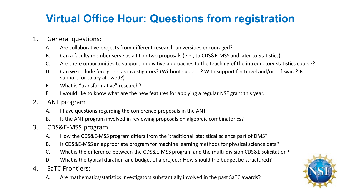### **Virtual Office Hour: Questions from registration**

#### 1. General questions:

- A. Are collaborative projects from different research universities encouraged?
- B. Can a faculty member serve as a PI on two proposals (e.g., to CDS&E-MSS and later to Statistics)
- C. Are there opportunities to support innovative approaches to the teaching of the introductory statistics course?
- D. Can we include foreigners as investigators? (Without support? With support for travel and/or software? Is support for salary allowed?)
- E. What is "transformative" research?
- F. I would like to know what are the new features for applying a regular NSF grant this year.

#### 2. ANT program

- A. I have questions regarding the conference proposals in the ANT.
- B. Is the ANT program involved in reviewing proposals on algebraic combinatorics?
- 3. CDS&E-MSS program
	- A. How the CDS&E-MSS program differs from the 'traditional' statistical science part of DMS?
	- B. Is CDS&E-MSS an appropriate program for machine learning methods for physical science data?
	- C. What is the difference between the CDS&E-MSS program and the multi-division CDS&E solicitation?
	- D. What is the typical duration and budget of a project? How should the budget be structured?
- 4. SaTC Frontiers:
	- A. Are mathematics/statistics investigators substantially involved in the past SaTC awards?